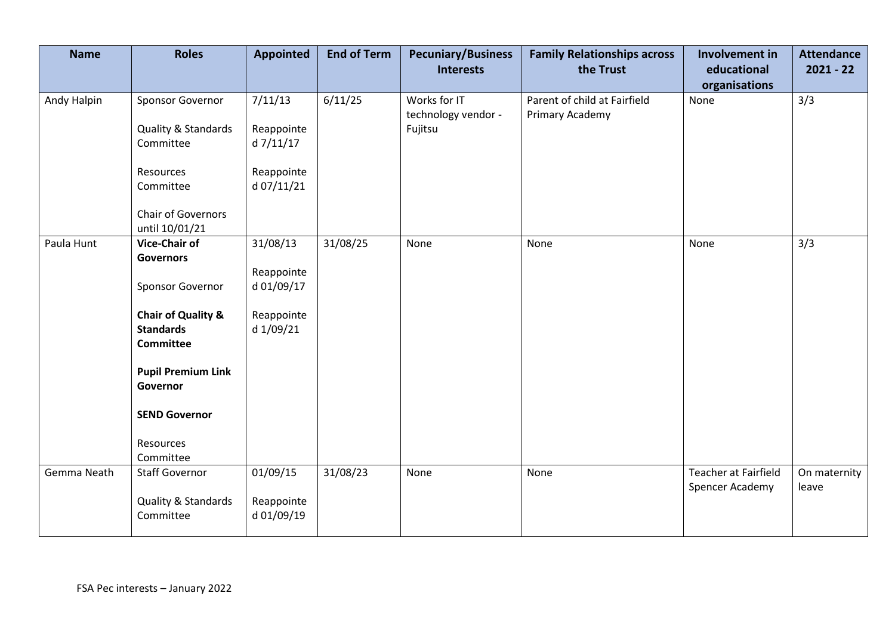| <b>Name</b> | <b>Roles</b>                                                          | <b>Appointed</b>                     | <b>End of Term</b> | <b>Pecuniary/Business</b><br><b>Interests</b> | <b>Family Relationships across</b><br>the Trust | Involvement in<br>educational           | <b>Attendance</b><br>$2021 - 22$ |
|-------------|-----------------------------------------------------------------------|--------------------------------------|--------------------|-----------------------------------------------|-------------------------------------------------|-----------------------------------------|----------------------------------|
| Andy Halpin | Sponsor Governor                                                      | 7/11/13                              | 6/11/25            | Works for IT                                  | Parent of child at Fairfield                    | organisations<br>None                   | 3/3                              |
|             | Quality & Standards<br>Committee                                      | Reappointe<br>d 7/11/17              |                    | technology vendor -<br>Fujitsu                | Primary Academy                                 |                                         |                                  |
|             | Resources<br>Committee                                                | Reappointe<br>d 07/11/21             |                    |                                               |                                                 |                                         |                                  |
|             | Chair of Governors<br>until 10/01/21                                  |                                      |                    |                                               |                                                 |                                         |                                  |
| Paula Hunt  | <b>Vice-Chair of</b><br><b>Governors</b>                              | 31/08/13<br>Reappointe               | 31/08/25           | None                                          | None                                            | None                                    | 3/3                              |
|             | Sponsor Governor                                                      | d 01/09/17                           |                    |                                               |                                                 |                                         |                                  |
|             | <b>Chair of Quality &amp;</b><br><b>Standards</b><br><b>Committee</b> | Reappointe<br>d 1/09/21              |                    |                                               |                                                 |                                         |                                  |
|             | <b>Pupil Premium Link</b><br>Governor                                 |                                      |                    |                                               |                                                 |                                         |                                  |
|             | <b>SEND Governor</b>                                                  |                                      |                    |                                               |                                                 |                                         |                                  |
|             | Resources<br>Committee                                                |                                      |                    |                                               |                                                 |                                         |                                  |
| Gemma Neath | <b>Staff Governor</b><br>Quality & Standards<br>Committee             | 01/09/15<br>Reappointe<br>d 01/09/19 | 31/08/23           | None                                          | None                                            | Teacher at Fairfield<br>Spencer Academy | On maternity<br>leave            |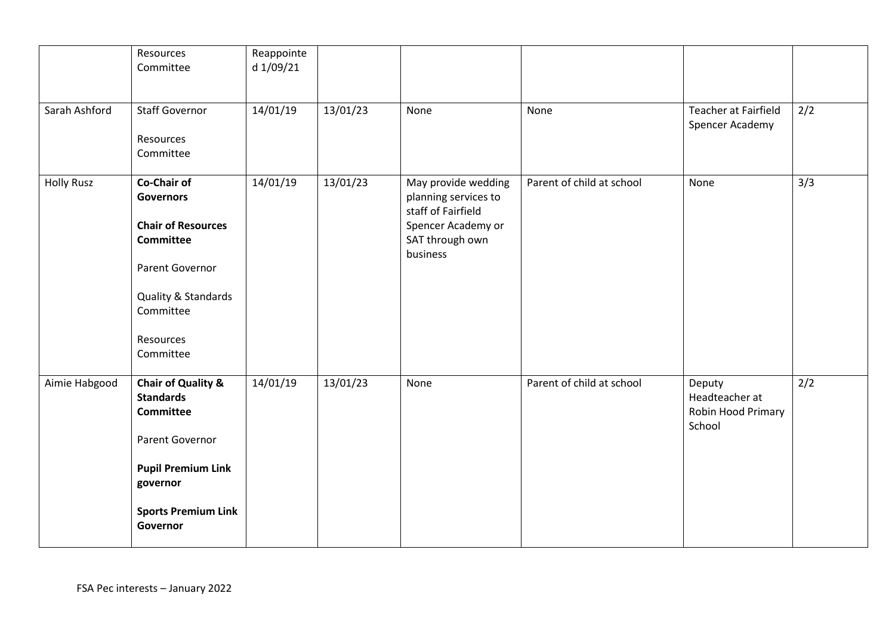|                   | Resources<br>Committee                                                                                                                                                      | Reappointe<br>d 1/09/21 |          |                                                                                                                        |                           |                                                          |     |
|-------------------|-----------------------------------------------------------------------------------------------------------------------------------------------------------------------------|-------------------------|----------|------------------------------------------------------------------------------------------------------------------------|---------------------------|----------------------------------------------------------|-----|
| Sarah Ashford     | <b>Staff Governor</b><br>Resources<br>Committee                                                                                                                             | 14/01/19                | 13/01/23 | None                                                                                                                   | None                      | Teacher at Fairfield<br>Spencer Academy                  | 2/2 |
| <b>Holly Rusz</b> | <b>Co-Chair of</b><br><b>Governors</b><br><b>Chair of Resources</b><br>Committee<br>Parent Governor<br>Quality & Standards<br>Committee<br>Resources<br>Committee           | 14/01/19                | 13/01/23 | May provide wedding<br>planning services to<br>staff of Fairfield<br>Spencer Academy or<br>SAT through own<br>business | Parent of child at school | None                                                     | 3/3 |
| Aimie Habgood     | <b>Chair of Quality &amp;</b><br><b>Standards</b><br><b>Committee</b><br>Parent Governor<br><b>Pupil Premium Link</b><br>governor<br><b>Sports Premium Link</b><br>Governor | 14/01/19                | 13/01/23 | None                                                                                                                   | Parent of child at school | Deputy<br>Headteacher at<br>Robin Hood Primary<br>School | 2/2 |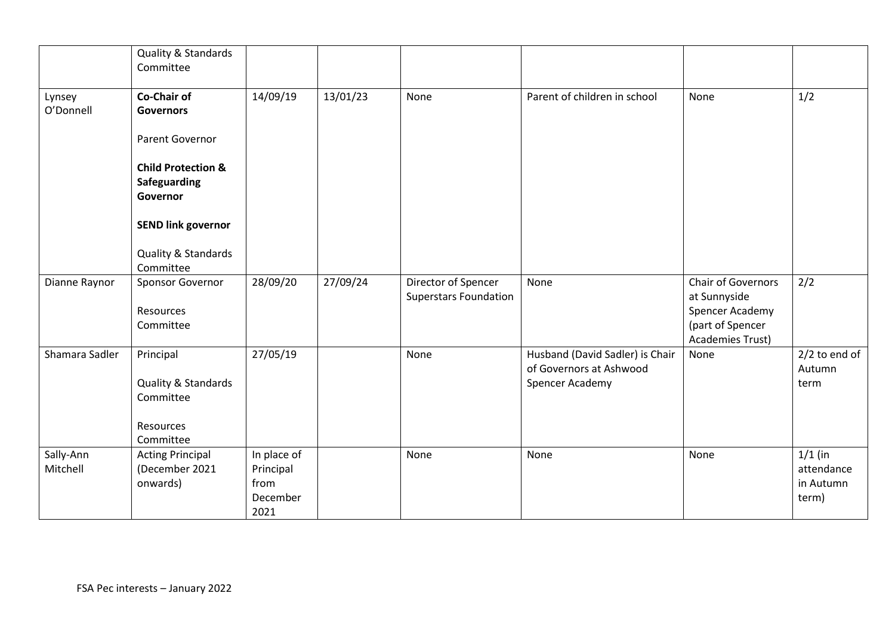|                       | Quality & Standards<br>Committee                                        |                                                      |          |                                                     |                                                                               |                                                                                                      |                                               |
|-----------------------|-------------------------------------------------------------------------|------------------------------------------------------|----------|-----------------------------------------------------|-------------------------------------------------------------------------------|------------------------------------------------------------------------------------------------------|-----------------------------------------------|
| Lynsey<br>O'Donnell   | <b>Co-Chair of</b><br><b>Governors</b>                                  | 14/09/19                                             | 13/01/23 | None                                                | Parent of children in school                                                  | None                                                                                                 | 1/2                                           |
|                       | Parent Governor                                                         |                                                      |          |                                                     |                                                                               |                                                                                                      |                                               |
|                       | <b>Child Protection &amp;</b><br>Safeguarding<br>Governor               |                                                      |          |                                                     |                                                                               |                                                                                                      |                                               |
|                       | <b>SEND link governor</b>                                               |                                                      |          |                                                     |                                                                               |                                                                                                      |                                               |
|                       | Quality & Standards<br>Committee                                        |                                                      |          |                                                     |                                                                               |                                                                                                      |                                               |
| Dianne Raynor         | Sponsor Governor<br>Resources<br>Committee                              | 28/09/20                                             | 27/09/24 | Director of Spencer<br><b>Superstars Foundation</b> | None                                                                          | Chair of Governors<br>at Sunnyside<br>Spencer Academy<br>(part of Spencer<br><b>Academies Trust)</b> | 2/2                                           |
| Shamara Sadler        | Principal<br>Quality & Standards<br>Committee<br>Resources<br>Committee | 27/05/19                                             |          | None                                                | Husband (David Sadler) is Chair<br>of Governors at Ashwood<br>Spencer Academy | None                                                                                                 | $2/2$ to end of<br>Autumn<br>term             |
| Sally-Ann<br>Mitchell | <b>Acting Principal</b><br>(December 2021<br>onwards)                   | In place of<br>Principal<br>from<br>December<br>2021 |          | None                                                | None                                                                          | None                                                                                                 | $1/1$ (in<br>attendance<br>in Autumn<br>term) |